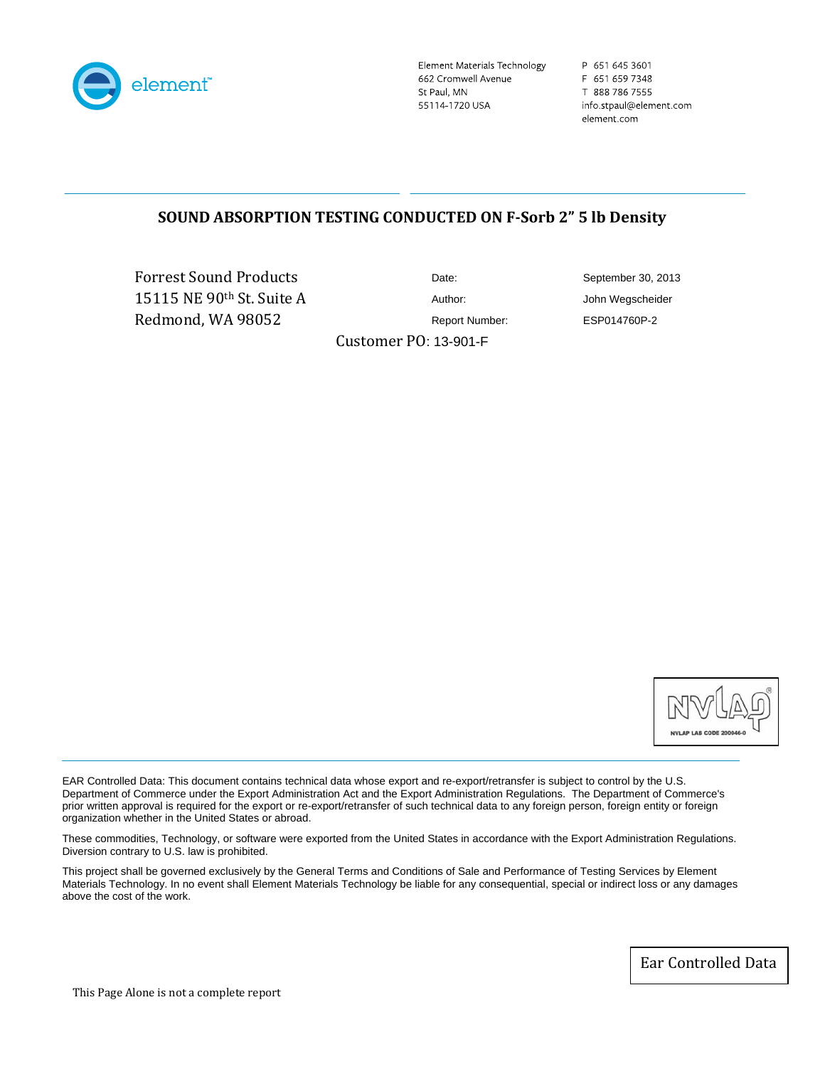

Element Materials Technology 662 Cromwell Avenue St Paul, MN 55114-1720 USA

P 651 645 3601 F 651 659 7348 T 888 786 7555 info.stpaul@element.com element.com

# **SOUND ABSORPTION TESTING CONDUCTED ON FSorb 2" 5 lb Density**

Forrest Sound Produc ts 15115 NE 90th St. Suit e A Redmond, WA 98052

Date: September 30, 2013 Author: John Wegscheider Report Number: ESP014760P-2

Customer PO: 13-901-F



EAR Controlled Data: This document contains technical data whose export and re-export/retransfer is subject to control by the U.S. Department of Commerce under the Export Administration Act and the Export Administration Regulations. The Department of Commerce's prior written approval is required for the export or re-export/retransfer of such technical data to any foreign person, foreign entity or foreign organization whether in the United States or abroad.

These commodities, Technology, or software were exported from the United States in accordance with the Export Administration Regulations. Diversion contrary to U.S. law is prohibited.

This project shall be governed exclusively by the General Terms and Conditions of Sale and Performance of Testing Services by Element Materials Technology. In no event shall Element Materials Technology be liable for any consequential, special or indirect loss or any damages above the cost of the work.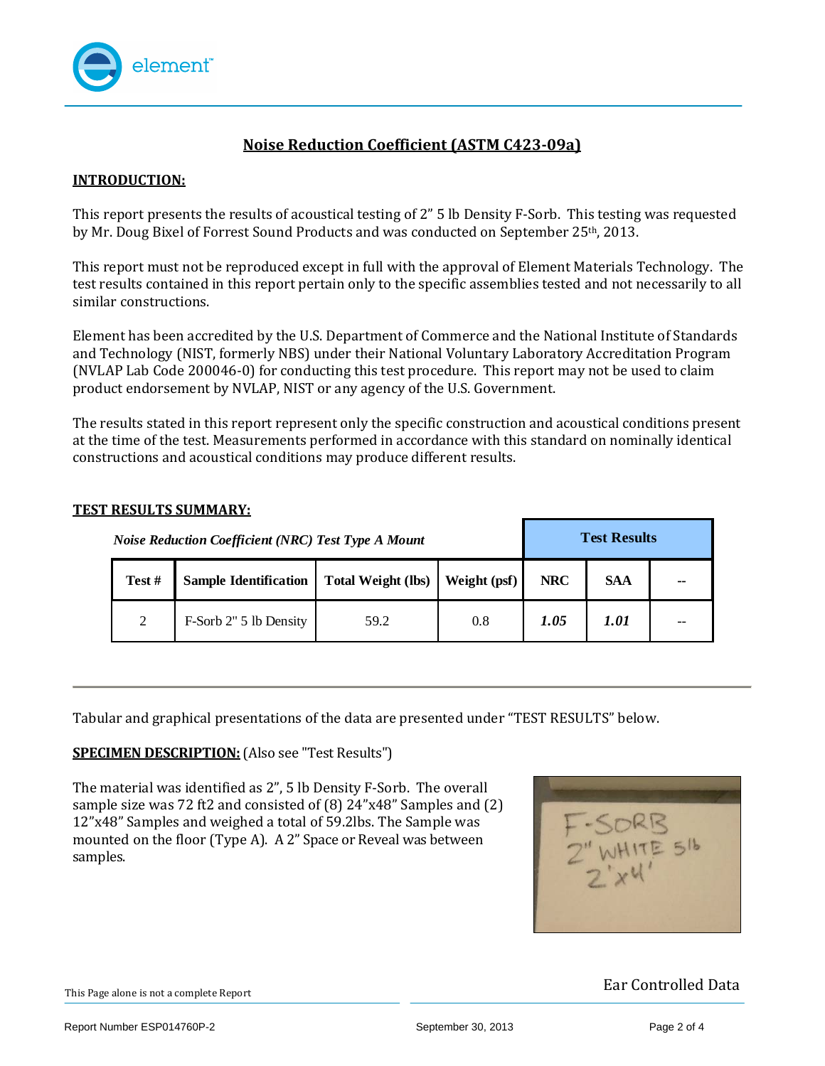

# **Noise Reduction Coefficient (ASTM C42309a)**

## **INTRODUCTION:**

This report presents the results of acoustical testing of 2" 5 lb Density F‐Sorb. This testing was requested by Mr. Doug Bixel of Forrest Sound Products and was conducted on September 25th, 2013.

This report must not be reproduced except in full with the approval of Element Materials Technology. The test results contained in this report pertain only to the specific assemblies tested and not necessarily to all similar constructions.

Element has been accredited by the U.S. Department of Commerce and the National Institute of Standards and Technology (NIST, formerly NBS) under their National Voluntary Laboratory Accreditation Program (NVLAP Lab Code 200046‐0) for conducting this test procedure. This report may not be used to claim product endorsement by NVLAP, NIST or any agency of the U.S. Government.

The results stated in this report represent only the specific construction and acoustical conditions present at the time of the test. Measurements performed in accordance with this standard on nominally identical onstructions and acoustical conditions may produce different results. c

#### **TEST RESULTS SUMMARY:**

|       | <b>Noise Reduction Coefficient (NRC) Test Type A Mount</b> | <b>Test Results</b>       |              |            |            |    |
|-------|------------------------------------------------------------|---------------------------|--------------|------------|------------|----|
| Test# | <b>Sample Identification</b>                               | <b>Total Weight (lbs)</b> | Weight (psf) | <b>NRC</b> | <b>SAA</b> | -- |
| 2     | F-Sorb 2" 5 lb Density                                     | 59.2                      | 0.8          | 1.05       | 1.01       | -- |

Tabular and graphical presentations of the data are presented under "TEST RESULTS" below.

## **SPECIMEN DESCRIPTION:** (Also see "Test Results")

The material was identified as 2", 5 lb Density F‐Sorb. The overall sample size was 72 ft2 and consisted of (8) 24"x48" Samples and (2) 12"x48" Samples and weighed a total of 59.2lbs. The Sample was mounted on the floor (Type A). A 2" Space or Reveal was between samples.

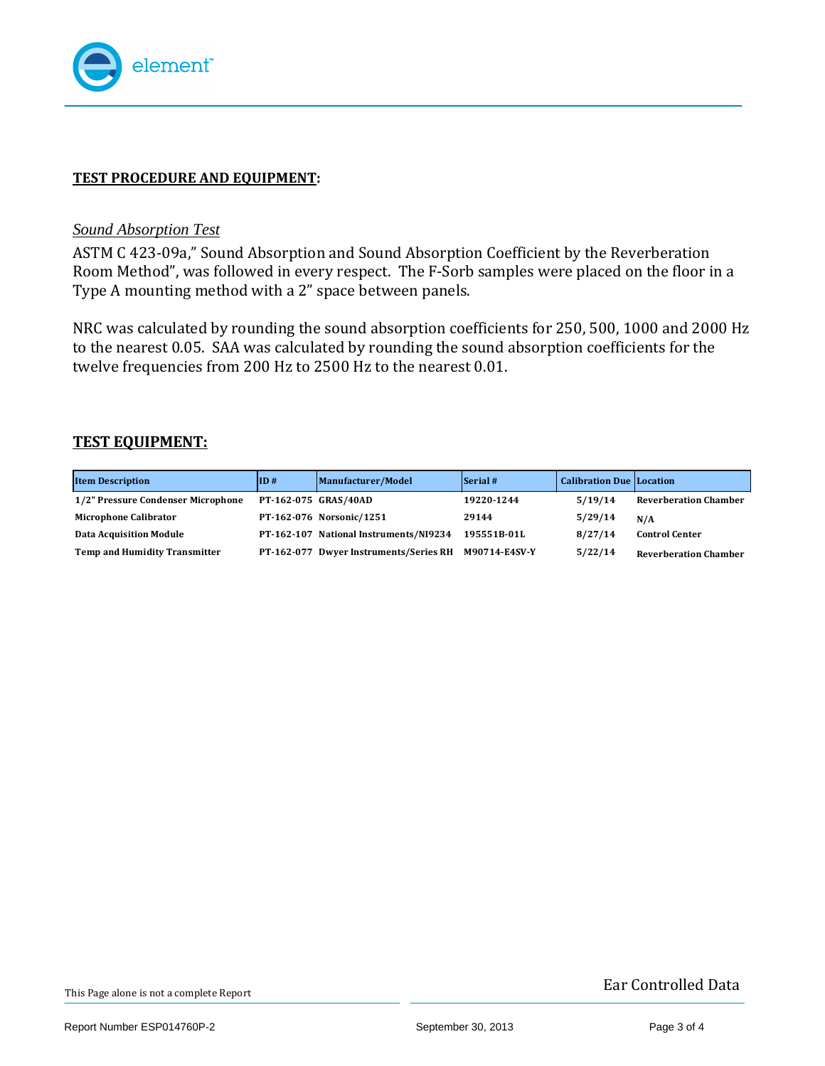

# **TEST PROCEDURE AND EQUIPMENT:**

## *Sound Absorption Test*

ASTM C 423‐09a," Sound Absorption and Sound Absorption Coefficient by the Reverberation Room Method", was followed in every respect. The F‐Sorb samples were placed on the floor in a Type A mounting method with a 2" space between panels.

NRC was calculated by rounding the sound absorption coefficients for 250, 500, 1000 and 2000 Hz to the nearest 0.05. SAA was calculated by rounding the sound absorption coefficients for the welve frequencies from 200 Hz to 2500 Hz to the nearest 0.01. t

## **TEST EQUIPMENT:**

| <b>Item Description</b>            | ID#                  | Manufacturer/Model                     | $\left  \right $ Serial # | <b>Calibration Due Location</b> |                              |
|------------------------------------|----------------------|----------------------------------------|---------------------------|---------------------------------|------------------------------|
| 1/2" Pressure Condenser Microphone | PT-162-075 GRAS/40AD |                                        | 19220-1244                | 5/19/14                         | <b>Reverberation Chamber</b> |
| <b>Microphone Calibrator</b>       |                      | PT-162-076 Norsonic/1251               | 29144                     | 5/29/14                         | N/A                          |
| <b>Data Acquisition Module</b>     |                      | PT-162-107 National Instruments/NI9234 | 195551B-01L               | 8/27/14                         | <b>Control Center</b>        |
| Temp and Humidity Transmitter      |                      | PT-162-077 Dwyer Instruments/Series RH | M90714-E4SV-Y             | 5/22/14                         | <b>Reverberation Chamber</b> |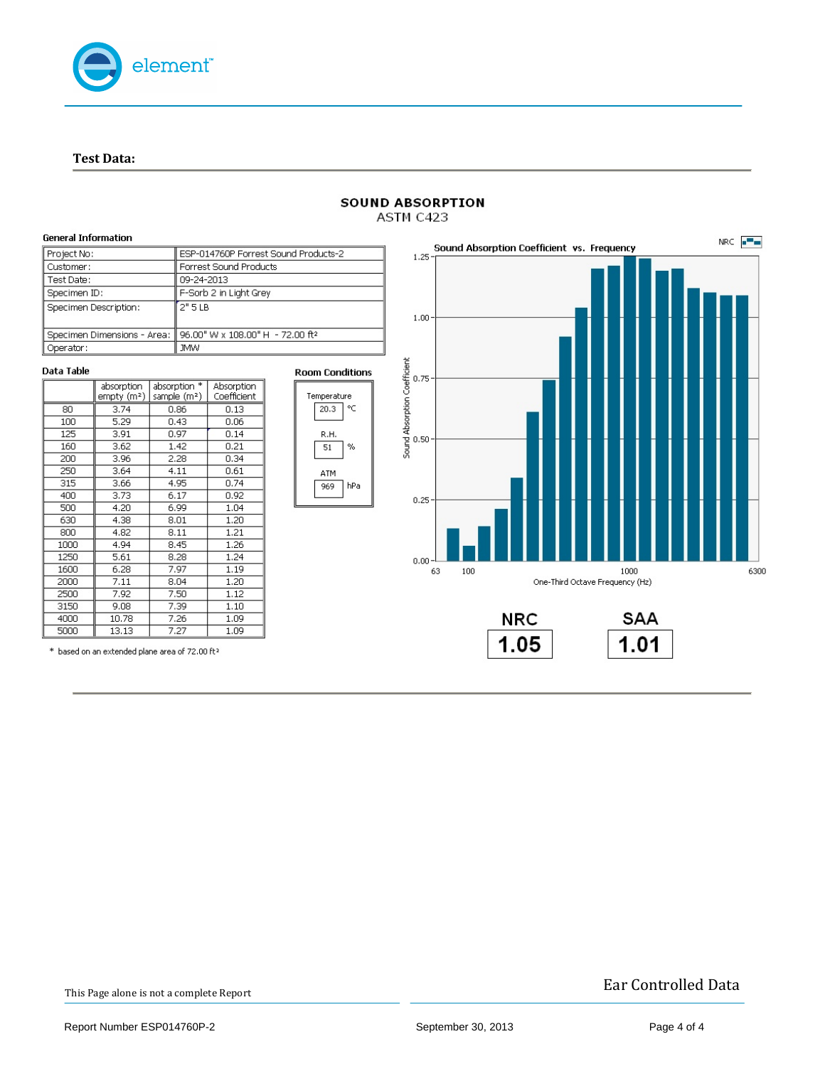

**T est Data:**

 $\overline{315}$ 

 $400$ 

500

630

 $800$ 

1000

1250

1600

 $2000$ 

2500

3150

4000

5000

| <b>General Information</b> |                             |                               |                                              |                           |    |                        |          |  |
|----------------------------|-----------------------------|-------------------------------|----------------------------------------------|---------------------------|----|------------------------|----------|--|
| Project No:                |                             |                               | ESP-014760P Forrest Sound Products-2         | $1.25 -$                  | So |                        |          |  |
| Customer:                  |                             |                               |                                              | Forrest Sound Products    |    |                        |          |  |
| Test Date:                 |                             |                               | 09-24-2013                                   |                           |    |                        |          |  |
| Specimen ID:               |                             |                               | F-Sorb 2 in Light Grey                       |                           |    |                        |          |  |
|                            | Specimen Description:       |                               | 2"5LB                                        |                           |    |                        | $1.00 -$ |  |
|                            | Specimen Dimensions - Area: |                               | 96.00" W x 108.00" H - 72.00 ft <sup>2</sup> |                           |    |                        |          |  |
| Operator:                  |                             |                               | JMW.                                         |                           |    |                        |          |  |
| Data Table                 |                             |                               |                                              |                           |    | <b>Room Conditions</b> |          |  |
|                            | absorption<br>empty (mª)    | absorption *<br>sample $(m2)$ |                                              | Absorption<br>Coefficient |    | Temperature            |          |  |
| 80                         | 3.74                        | 0.86                          |                                              | 0.13                      |    | ۰c<br>20.3             |          |  |
| 5.29<br>100<br>125<br>3.91 |                             | 0.43                          |                                              | 0.06                      |    |                        |          |  |
|                            |                             | 0.97                          |                                              | 0.14                      |    | R.H.                   |          |  |
| 160                        | 3.62                        | 1.42                          |                                              | 0.21                      |    | %<br>51                |          |  |
| 200                        | 3.96                        | 2.28                          |                                              | 0.34                      |    |                        |          |  |
| 250                        | 3.64                        | 4.11                          |                                              | 0.61                      |    | ATM                    |          |  |

 $0.74$ 

 $0.92$ 

 $1.04$ 

 $1.20$ 

 $1.21$ 

 $1.26$ 

 $1.24$ 

 $1.19$ 

 $1.20$ 

 $1.12$ 

 $1.10$ 

 $1.09$ 

 $1.09$ 

ATM

969 hPa

**SOUND ABSORPTION** ASTM C423



\* based on an extended plane area of 72.00 ft<sup>2</sup>

 $3,66$ 

 $3,73$ 

 $4,20$ 

 $4.38$ 

 $4.82$ 

4.94

 $5.61$ 

 $\frac{6.28}{7.11}$ 

 $7.92$ 

 $9.08$ 

10.78

 $13.13$ 

 $4.95$ 

 $6.17$ 

 $6.99$ 

 $8.01$ 

 $8.11$ 

 $8.45$ 

 $8.28$ 

 $7.97$ 

 $8.04$ 

 $7.50$ 

 $7,39$ 

 $\frac{7.26}{7.27}$ 

This Page alone is not a complete Report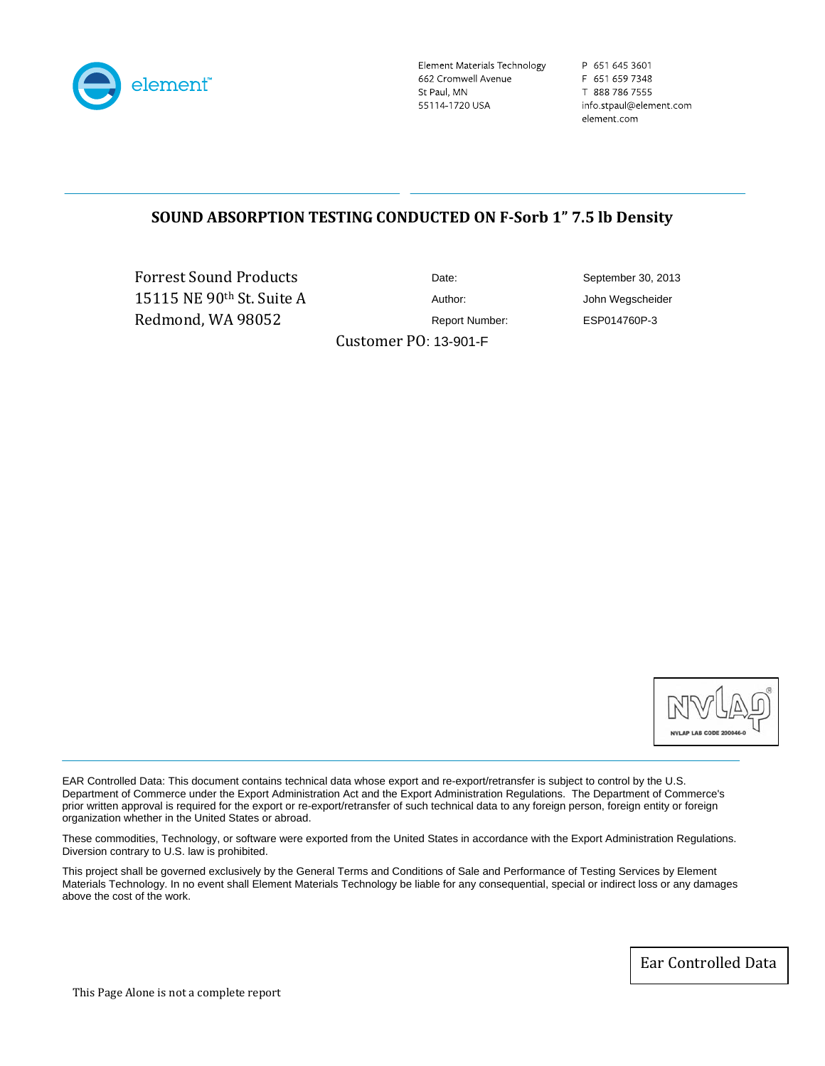

Element Materials Technology 662 Cromwell Avenue St Paul, MN 55114-1720 USA

P 651 645 3601 F 651 659 7348 T 888 786 7555 info.stpaul@element.com element.com

# **SOUND ABSORPTION TESTING CONDUCTED ON FSorb 1" 7.5 lb Density**

Forrest Sound Produc ts 15115 NE 90th St. Suit e A Redmond, WA 98052

Date: September 30, 2013

Report Number: ESP014760P-3

Customer PO: 13-901-F

Author: John Wegscheider



EAR Controlled Data: This document contains technical data whose export and re-export/retransfer is subject to control by the U.S. Department of Commerce under the Export Administration Act and the Export Administration Regulations. The Department of Commerce's prior written approval is required for the export or re-export/retransfer of such technical data to any foreign person, foreign entity or foreign organization whether in the United States or abroad.

These commodities, Technology, or software were exported from the United States in accordance with the Export Administration Regulations. Diversion contrary to U.S. law is prohibited.

This project shall be governed exclusively by the General Terms and Conditions of Sale and Performance of Testing Services by Element Materials Technology. In no event shall Element Materials Technology be liable for any consequential, special or indirect loss or any damages above the cost of the work.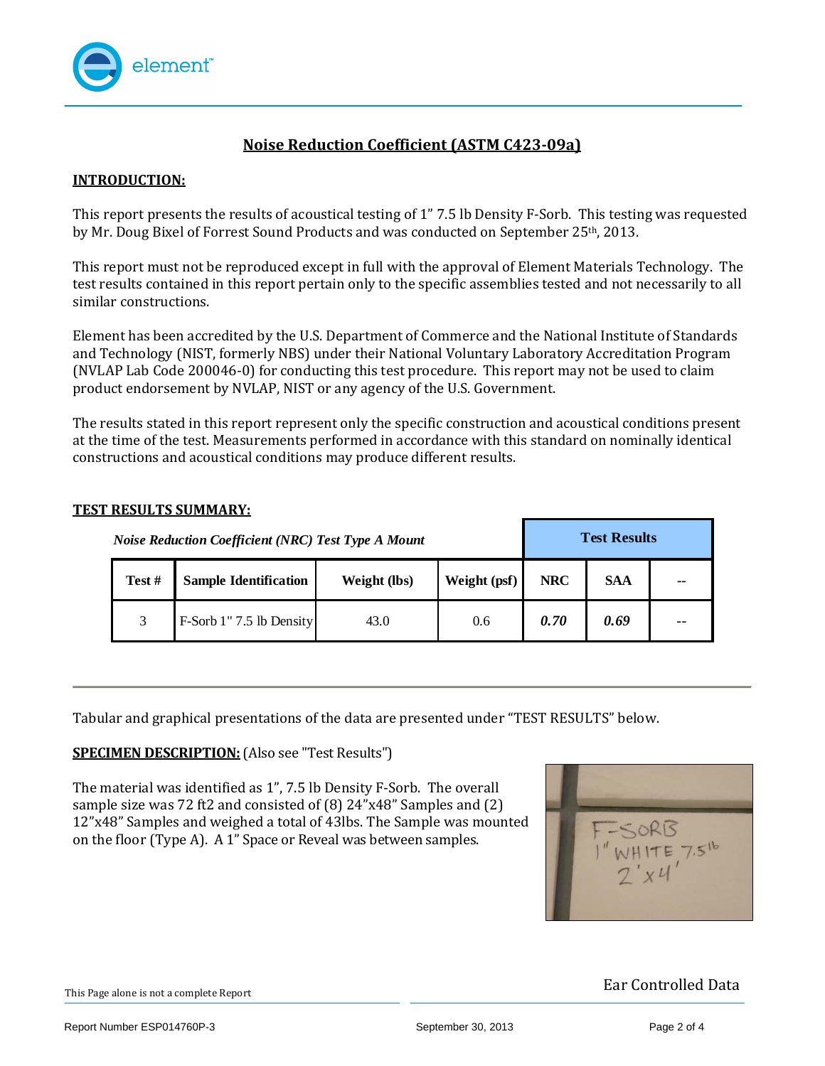

# **Noise Reduction Coefficient (ASTM C42309a)**

## **INTRODUCTION:**

This report presents the results of acoustical testing of 1" 7.5 lb Density F‐Sorb. This testing was requested by Mr. Doug Bixel of Forrest Sound Products and was conducted on September 25th, 2013.

This report must not be reproduced except in full with the approval of Element Materials Technology. The test results contained in this report pertain only to the specific assemblies tested and not necessarily to all similar constructions.

Element has been accredited by the U.S. Department of Commerce and the National Institute of Standards and Technology (NIST, formerly NBS) under their National Voluntary Laboratory Accreditation Program (NVLAP Lab Code 200046‐0) for conducting this test procedure. This report may not be used to claim product endorsement by NVLAP, NIST or any agency of the U.S. Government.

The results stated in this report represent only the specific construction and acoustical conditions present at the time of the test. Measurements performed in accordance with this standard on nominally identical onstructions and acoustical conditions may produce different results. c

#### **TEST RESULTS SUMMARY:**

|        | <b>Noise Reduction Coefficient (NRC) Test Type A Mount</b> |              | <b>Test Results</b> |            |            |       |
|--------|------------------------------------------------------------|--------------|---------------------|------------|------------|-------|
| Test # | <b>Sample Identification</b>                               | Weight (lbs) | Weight (psf)        | <b>NRC</b> | <b>SAA</b> | --    |
| 3      | F-Sorb 1"7.5 lb Density                                    | 43.0         | 0.6                 | 0.70       | 0.69       | $- -$ |

Tabular and graphical presentations of the data are presented under "TEST RESULTS" below.

## **SPECIMEN DESCRIPTION:** (Also see "Test Results")

The material was identified as 1", 7.5 lb Density F‐Sorb. The overall sample size was 72 ft2 and consisted of (8) 24"x48" Samples and (2) 12"x48" Samples and weighed a total of 43lbs. The Sample was mounted on the floor (Type A). A 1" Space or Reveal was between samples.

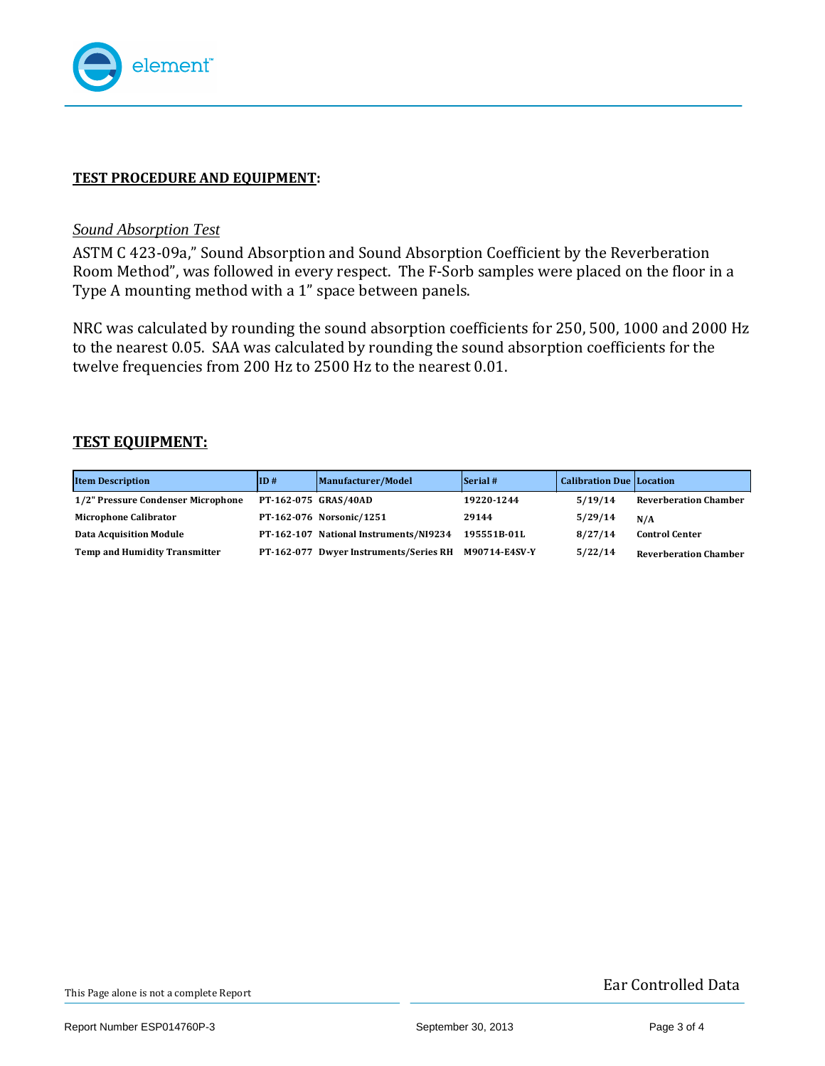

# **TEST PROCEDURE AND EQUIPMENT:**

## *Sound Absorption Test*

ASTM C 423‐09a," Sound Absorption and Sound Absorption Coefficient by the Reverberation Room Method", was followed in every respect. The F‐Sorb samples were placed on the floor in a Type A mounting method with a 1" space between panels.

NRC was calculated by rounding the sound absorption coefficients for 250, 500, 1000 and 2000 Hz to the nearest 0.05. SAA was calculated by rounding the sound absorption coefficients for the welve frequencies from 200 Hz to 2500 Hz to the nearest 0.01. t

## **TEST EQUIPMENT:**

| <b>Item Description</b>            | ID#                  | Manufacturer/Model                     | $\left  \right $ Serial # | <b>Calibration Due Location</b> |                              |
|------------------------------------|----------------------|----------------------------------------|---------------------------|---------------------------------|------------------------------|
| 1/2" Pressure Condenser Microphone | PT-162-075 GRAS/40AD |                                        | 19220-1244                | 5/19/14                         | <b>Reverberation Chamber</b> |
| <b>Microphone Calibrator</b>       |                      | PT-162-076 Norsonic/1251               | 29144                     | 5/29/14                         | N/A                          |
| <b>Data Acquisition Module</b>     |                      | PT-162-107 National Instruments/NI9234 | 195551B-01L               | 8/27/14                         | <b>Control Center</b>        |
| Temp and Humidity Transmitter      |                      | PT-162-077 Dwyer Instruments/Series RH | M90714-E4SV-Y             | 5/22/14                         | <b>Reverberation Chamber</b> |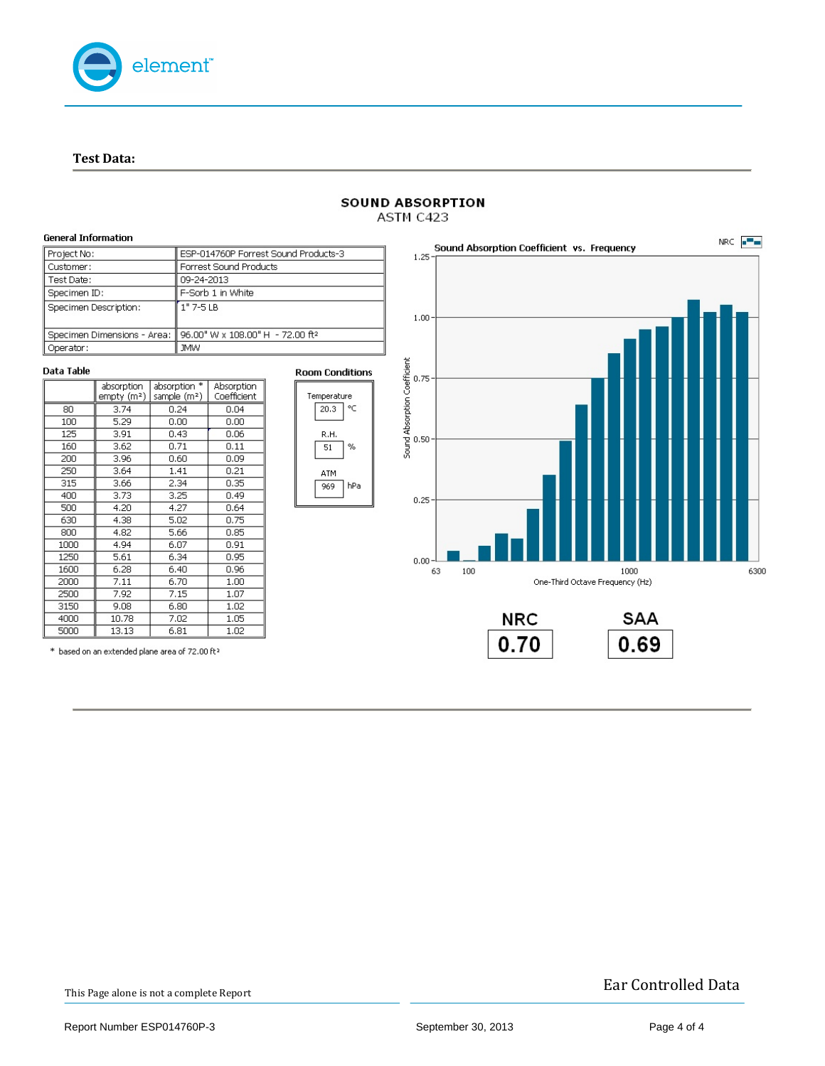

**Test Data:**



#### **SOUND ABSORPTION** ASTM C423

This Page alone is not a complete Report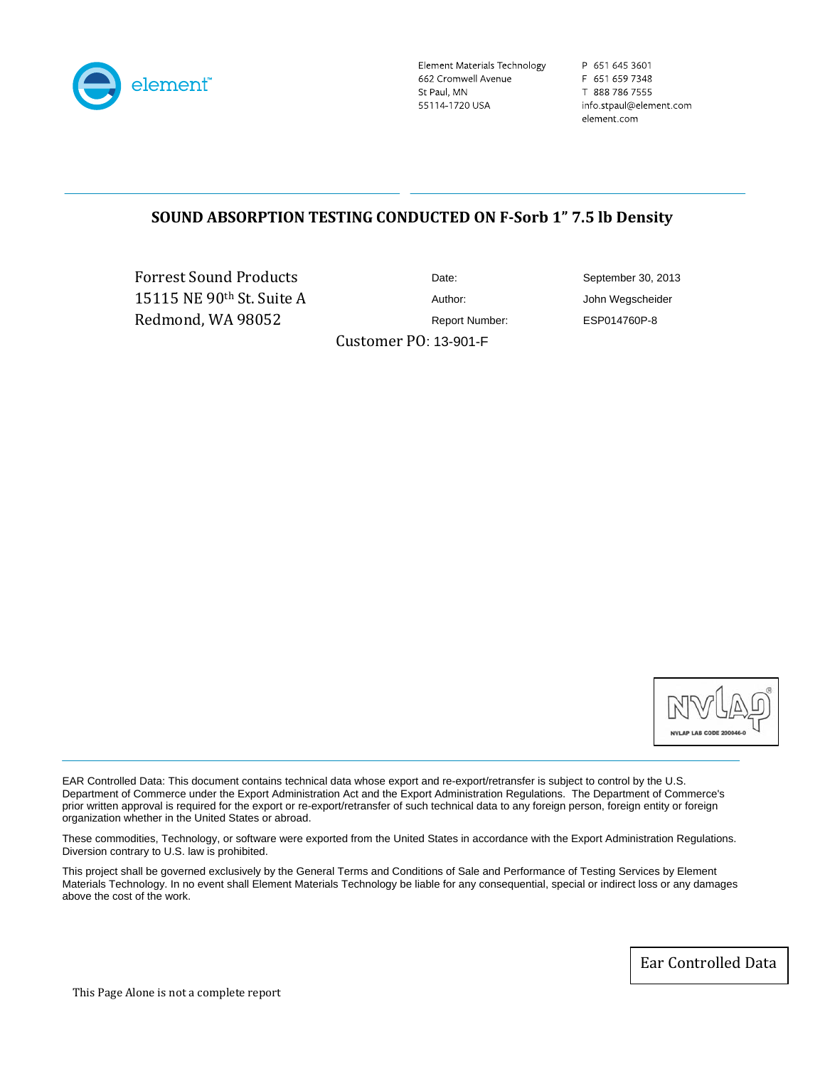

Element Materials Technology 662 Cromwell Avenue St Paul, MN 55114-1720 USA

P 651 645 3601 F 651 659 7348 T 888 786 7555 info.stpaul@element.com element.com

# **SOUND ABSORPTION TESTING CONDUCTED ON FSorb 1" 7.5 lb Density**

Forrest Sound Produc ts 15115 NE 90th St. Suit e A Redmond, WA 98052

Customer PO: 13-901-F

Date: September 30, 2013 Author: John Wegscheider Report Number: ESP014760P-8



EAR Controlled Data: This document contains technical data whose export and re-export/retransfer is subject to control by the U.S. Department of Commerce under the Export Administration Act and the Export Administration Regulations. The Department of Commerce's prior written approval is required for the export or re-export/retransfer of such technical data to any foreign person, foreign entity or foreign organization whether in the United States or abroad.

These commodities, Technology, or software were exported from the United States in accordance with the Export Administration Regulations. Diversion contrary to U.S. law is prohibited.

This project shall be governed exclusively by the General Terms and Conditions of Sale and Performance of Testing Services by Element Materials Technology. In no event shall Element Materials Technology be liable for any consequential, special or indirect loss or any damages above the cost of the work.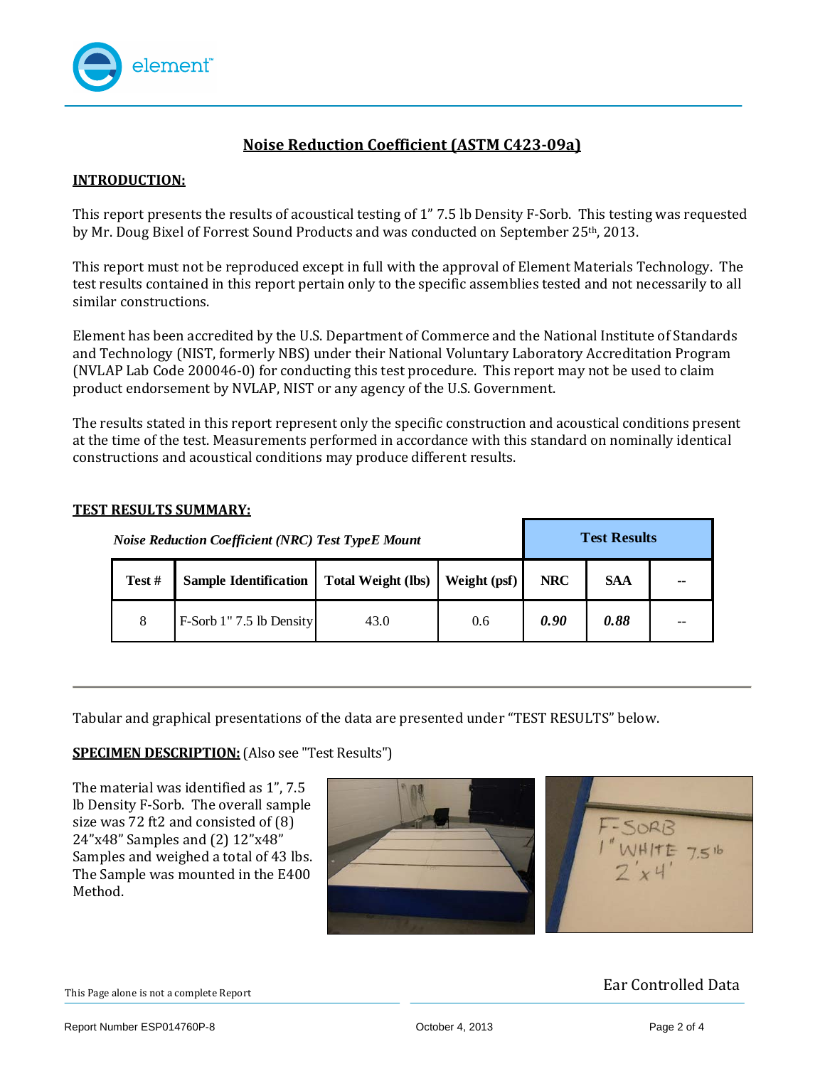

# **Noise Reduction Coefficient (ASTM C42309a)**

## **INTRODUCTION:**

This report presents the results of acoustical testing of 1" 7.5 lb Density F‐Sorb. This testing was requested by Mr. Doug Bixel of Forrest Sound Products and was conducted on September 25th, 2013.

This report must not be reproduced except in full with the approval of Element Materials Technology. The test results contained in this report pertain only to the specific assemblies tested and not necessarily to all similar constructions.

Element has been accredited by the U.S. Department of Commerce and the National Institute of Standards and Technology (NIST, formerly NBS) under their National Voluntary Laboratory Accreditation Program (NVLAP Lab Code 200046‐0) for conducting this test procedure. This report may not be used to claim product endorsement by NVLAP, NIST or any agency of the U.S. Government.

The results stated in this report represent only the specific construction and acoustical conditions present at the time of the test. Measurements performed in accordance with this standard on nominally identical onstructions and acoustical conditions may produce different results. c

#### **TEST RESULTS SUMMARY:**

|        | <b>Noise Reduction Coefficient (NRC) Test TypeE Mount</b> |                           | <b>Test Results</b> |            |            |    |
|--------|-----------------------------------------------------------|---------------------------|---------------------|------------|------------|----|
| Test # | <b>Sample Identification</b>                              | <b>Total Weight (lbs)</b> | Weight (psf)        | <b>NRC</b> | <b>SAA</b> | -- |
| 8      | F-Sorb 1"7.5 lb Density                                   | 43.0                      | 0.6                 | 0.90       | 0.88       |    |

Tabular and graphical presentations of the data are presented under "TEST RESULTS" below.

**SPECIMEN DESCRIPTION:** (Also see "T est Results")

The material was identified as 1", 7.5 lb Density F‐Sorb. The overall sample size was 72 ft2 and consisted of (8) 24"x48" Samples and (2) 12"x48" Samples and weighed a total of 43 lbs. The Sample was mounted in the E400 Method.



This Page alone is not a complete Report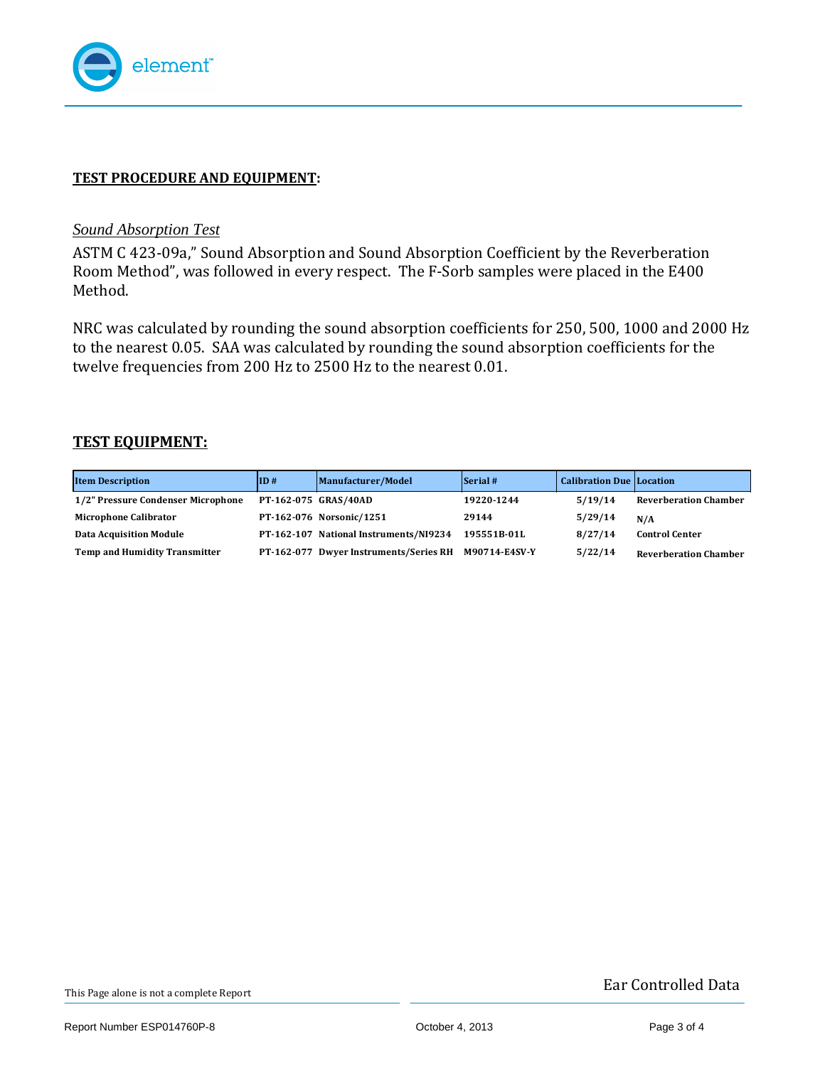

## **TEST PROCEDURE AND EQUIPMENT:**

## *Sound Absorption Test*

ASTM C 423‐09a," Sound Absorption and Sound Absorption Coefficient by the Reverberation Room Method", was followed in every respect. The F-Sorb samples were placed in the E400 Method.

NRC was calculated by rounding the sound absorption coefficients for 250, 500, 1000 and 2000 Hz to the nearest 0.05. SAA was calculated by rounding the sound absorption coefficients for the welve frequencies from 200 Hz to 2500 Hz to the nearest 0.01. t

## **TEST EQUIPMENT:**

| <b>Item Description</b>            | ID#                  | Manufacturer/Model                     | Serial #      | <b>Calibration Due Location</b> |                              |
|------------------------------------|----------------------|----------------------------------------|---------------|---------------------------------|------------------------------|
| 1/2" Pressure Condenser Microphone | PT-162-075 GRAS/40AD |                                        | 19220-1244    | 5/19/14                         | <b>Reverberation Chamber</b> |
| <b>Microphone Calibrator</b>       |                      | PT-162-076 Norsonic/1251               | 29144         | 5/29/14                         | N/A                          |
| <b>Data Acquisition Module</b>     |                      | PT-162-107 National Instruments/NI9234 | 195551B-01L   | 8/27/14                         | <b>Control Center</b>        |
| Temp and Humidity Transmitter      |                      | PT-162-077 Dwyer Instruments/Series RH | M90714-E4SV-Y | 5/22/14                         | <b>Reverberation Chamber</b> |